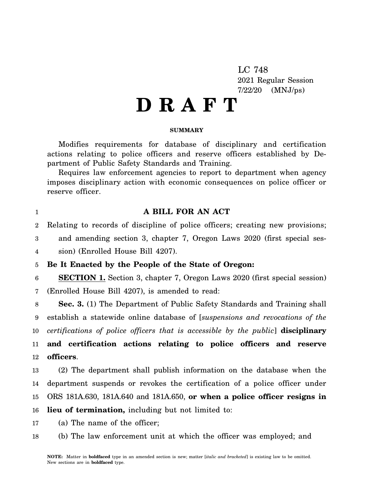LC 748 2021 Regular Session 7/22/20 (MNJ/ps)

# **D R A F T**

### **SUMMARY**

Modifies requirements for database of disciplinary and certification actions relating to police officers and reserve officers established by Department of Public Safety Standards and Training.

Requires law enforcement agencies to report to department when agency imposes disciplinary action with economic consequences on police officer or reserve officer.

1

## **A BILL FOR AN ACT**

2 Relating to records of discipline of police officers; creating new provisions;

3 4 and amending section 3, chapter 7, Oregon Laws 2020 (first special session) (Enrolled House Bill 4207).

5 **Be It Enacted by the People of the State of Oregon:**

6 7 **SECTION 1.** Section 3, chapter 7, Oregon Laws 2020 (first special session) (Enrolled House Bill 4207), is amended to read:

8 9 10 11 **Sec. 3.** (1) The Department of Public Safety Standards and Training shall establish a statewide online database of [*suspensions and revocations of the certifications of police officers that is accessible by the public*] **disciplinary and certification actions relating to police officers and reserve**

12 **officers**.

13 14 15 16 (2) The department shall publish information on the database when the department suspends or revokes the certification of a police officer under ORS 181A.630, 181A.640 and 181A.650, **or when a police officer resigns in lieu of termination,** including but not limited to:

17 (a) The name of the officer;

18 (b) The law enforcement unit at which the officer was employed; and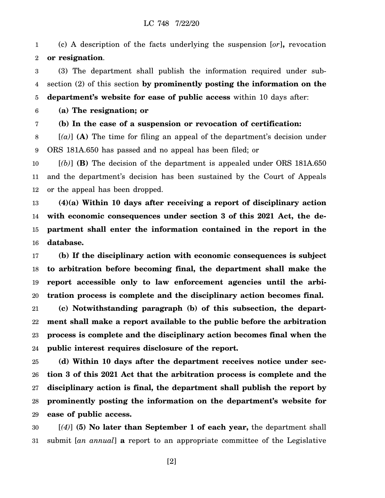### LC 748 7/22/20

1 2 (c) A description of the facts underlying the suspension [*or*]**,** revocation **or resignation**.

3 4 (3) The department shall publish the information required under subsection (2) of this section **by prominently posting the information on the**

5 **department's website for ease of public access** within 10 days after:

6 **(a) The resignation; or**

7

**(b) In the case of a suspension or revocation of certification:**

8 9 [*(a)*] **(A)** The time for filing an appeal of the department's decision under ORS 181A.650 has passed and no appeal has been filed; or

10 11 12 [*(b)*] **(B)** The decision of the department is appealed under ORS 181A.650 and the department's decision has been sustained by the Court of Appeals or the appeal has been dropped.

13 14 15 16 **(4)(a) Within 10 days after receiving a report of disciplinary action with economic consequences under section 3 of this 2021 Act, the department shall enter the information contained in the report in the database.**

17 18 19 20 **(b) If the disciplinary action with economic consequences is subject to arbitration before becoming final, the department shall make the report accessible only to law enforcement agencies until the arbitration process is complete and the disciplinary action becomes final.**

21 22 23 24 **(c) Notwithstanding paragraph (b) of this subsection, the department shall make a report available to the public before the arbitration process is complete and the disciplinary action becomes final when the public interest requires disclosure of the report.**

25 26 27 28 29 **(d) Within 10 days after the department receives notice under section 3 of this 2021 Act that the arbitration process is complete and the disciplinary action is final, the department shall publish the report by prominently posting the information on the department's website for ease of public access.**

30 31 [*(4)*] **(5) No later than September 1 of each year,** the department shall submit [*an annual*] **a** report to an appropriate committee of the Legislative

[2]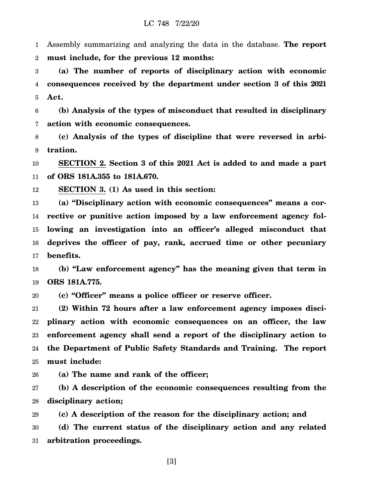1 2 Assembly summarizing and analyzing the data in the database. **The report must include, for the previous 12 months:**

3 4 5 **(a) The number of reports of disciplinary action with economic consequences received by the department under section 3 of this 2021 Act.**

6 7 **(b) Analysis of the types of misconduct that resulted in disciplinary action with economic consequences.**

8 9 **(c) Analysis of the types of discipline that were reversed in arbitration.**

10 11 **SECTION 2. Section 3 of this 2021 Act is added to and made a part of ORS 181A.355 to 181A.670.**

12 **SECTION 3. (1) As used in this section:**

13 14 15 16 17 **(a) "Disciplinary action with economic consequences" means a corrective or punitive action imposed by a law enforcement agency following an investigation into an officer's alleged misconduct that deprives the officer of pay, rank, accrued time or other pecuniary benefits.**

18 19 **(b) "Law enforcement agency" has the meaning given that term in ORS 181A.775.**

20 **(c) "Officer" means a police officer or reserve officer.**

21 22 23 24 25 **(2) Within 72 hours after a law enforcement agency imposes disciplinary action with economic consequences on an officer, the law enforcement agency shall send a report of the disciplinary action to the Department of Public Safety Standards and Training. The report must include:**

26 **(a) The name and rank of the officer;**

27 28 **(b) A description of the economic consequences resulting from the disciplinary action;**

29 30 31 **(c) A description of the reason for the disciplinary action; and (d) The current status of the disciplinary action and any related arbitration proceedings.**

[3]